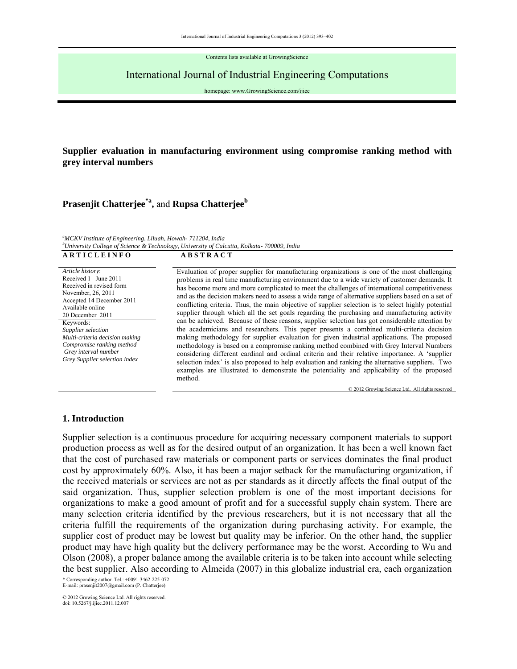Contents lists available at GrowingScience

## International Journal of Industrial Engineering Computations

homepage: www.GrowingScience.com/ijiec

## **Supplier evaluation in manufacturing environment using compromise ranking method with grey interval numbers**

# **Prasenjit Chatterjee\*a,** and **Rupsa Chatterjeeb**

*a MCKV Institute of Engineering, Liluah, Howah- 711204, India b University College of Science & Technology, University of Calcutta, Kolkata- 700009, India*  **A R T I C L E I N F O A B S T R A C T** 

*Article history*: Received 1 June 2011 Received in revised form November, 26, 2011 Accepted 14 December 2011 Available online 20 December 2011 Keywords: *Supplier selection Multi-criteria decision making Compromise ranking method Grey interval number Grey Supplier selection index*

Evaluation of proper supplier for manufacturing organizations is one of the most challenging problems in real time manufacturing environment due to a wide variety of customer demands. It has become more and more complicated to meet the challenges of international competitiveness and as the decision makers need to assess a wide range of alternative suppliers based on a set of conflicting criteria. Thus, the main objective of supplier selection is to select highly potential supplier through which all the set goals regarding the purchasing and manufacturing activity can be achieved. Because of these reasons, supplier selection has got considerable attention by the academicians and researchers. This paper presents a combined multi-criteria decision making methodology for supplier evaluation for given industrial applications. The proposed methodology is based on a compromise ranking method combined with Grey Interval Numbers considering different cardinal and ordinal criteria and their relative importance. A 'supplier selection index' is also proposed to help evaluation and ranking the alternative suppliers. Two examples are illustrated to demonstrate the potentiality and applicability of the proposed method.

© 2012 Growing Science Ltd. All rights reserved

## **1. Introduction**

Supplier selection is a continuous procedure for acquiring necessary component materials to support production process as well as for the desired output of an organization. It has been a well known fact that the cost of purchased raw materials or component parts or services dominates the final product cost by approximately 60%. Also, it has been a major setback for the manufacturing organization, if the received materials or services are not as per standards as it directly affects the final output of the said organization. Thus, supplier selection problem is one of the most important decisions for organizations to make a good amount of profit and for a successful supply chain system. There are many selection criteria identified by the previous researchers, but it is not necessary that all the criteria fulfill the requirements of the organization during purchasing activity. For example, the supplier cost of product may be lowest but quality may be inferior. On the other hand, the supplier product may have high quality but the delivery performance may be the worst. According to Wu and Olson (2008), a proper balance among the available criteria is to be taken into account while selecting the best supplier. Also according to Almeida (2007) in this globalize industrial era, each organization

\* Corresponding author. Tel.: +0091-3462-225-072 E-mail: prasenjit2007@gmail.com (P. Chatterjee)

© 2012 Growing Science Ltd. All rights reserved. doi: 10.5267/j.ijiec.2011.12.007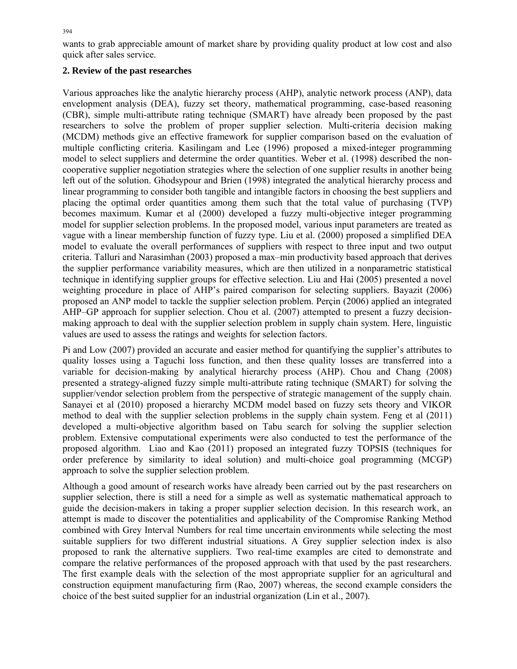wants to grab appreciable amount of market share by providing quality product at low cost and also quick after sales service.

## **2. Review of the past researches**

Various approaches like the analytic hierarchy process (AHP), analytic network process (ANP), data envelopment analysis (DEA), fuzzy set theory, mathematical programming, case-based reasoning (CBR), simple multi-attribute rating technique (SMART) have already been proposed by the past researchers to solve the problem of proper supplier selection. Multi-criteria decision making (MCDM) methods give an effective framework for supplier comparison based on the evaluation of multiple conflicting criteria. Kasilingam and Lee (1996) proposed a mixed-integer programming model to select suppliers and determine the order quantities. Weber et al. (1998) described the noncooperative supplier negotiation strategies where the selection of one supplier results in another being left out of the solution. Ghodsypour and Brien (1998) integrated the analytical hierarchy process and linear programming to consider both tangible and intangible factors in choosing the best suppliers and placing the optimal order quantities among them such that the total value of purchasing (TVP) becomes maximum. Kumar et al (2000) developed a fuzzy multi-objective integer programming model for supplier selection problems. In the proposed model, various input parameters are treated as vague with a linear membership function of fuzzy type. Liu et al. (2000) proposed a simplified DEA model to evaluate the overall performances of suppliers with respect to three input and two output criteria. Talluri and Narasimhan (2003) proposed a max–min productivity based approach that derives the supplier performance variability measures, which are then utilized in a nonparametric statistical technique in identifying supplier groups for effective selection. Liu and Hai (2005) presented a novel weighting procedure in place of AHP's paired comparison for selecting suppliers. Bayazit (2006) proposed an ANP model to tackle the supplier selection problem. Perçin (2006) applied an integrated AHP–GP approach for supplier selection. Chou et al. (2007) attempted to present a fuzzy decisionmaking approach to deal with the supplier selection problem in supply chain system. Here, linguistic values are used to assess the ratings and weights for selection factors.

Pi and Low (2007) provided an accurate and easier method for quantifying the supplier's attributes to quality losses using a Taguchi loss function, and then these quality losses are transferred into a variable for decision-making by analytical hierarchy process (AHP). Chou and Chang (2008) presented a strategy-aligned fuzzy simple multi-attribute rating technique (SMART) for solving the supplier/vendor selection problem from the perspective of strategic management of the supply chain. Sanayei et al (2010) proposed a hierarchy MCDM model based on fuzzy sets theory and VIKOR method to deal with the supplier selection problems in the supply chain system. Feng et al (2011) developed a multi-objective algorithm based on Tabu search for solving the supplier selection problem. Extensive computational experiments were also conducted to test the performance of the proposed algorithm. Liao and Kao (2011) proposed an integrated fuzzy TOPSIS (techniques for order preference by similarity to ideal solution) and multi-choice goal programming (MCGP) approach to solve the supplier selection problem.

Although a good amount of research works have already been carried out by the past researchers on supplier selection, there is still a need for a simple as well as systematic mathematical approach to guide the decision-makers in taking a proper supplier selection decision. In this research work, an attempt is made to discover the potentialities and applicability of the Compromise Ranking Method combined with Grey Interval Numbers for real time uncertain environments while selecting the most suitable suppliers for two different industrial situations. A Grey supplier selection index is also proposed to rank the alternative suppliers. Two real-time examples are cited to demonstrate and compare the relative performances of the proposed approach with that used by the past researchers. The first example deals with the selection of the most appropriate supplier for an agricultural and construction equipment manufacturing firm (Rao, 2007) whereas, the second example considers the choice of the best suited supplier for an industrial organization (Lin et al., 2007).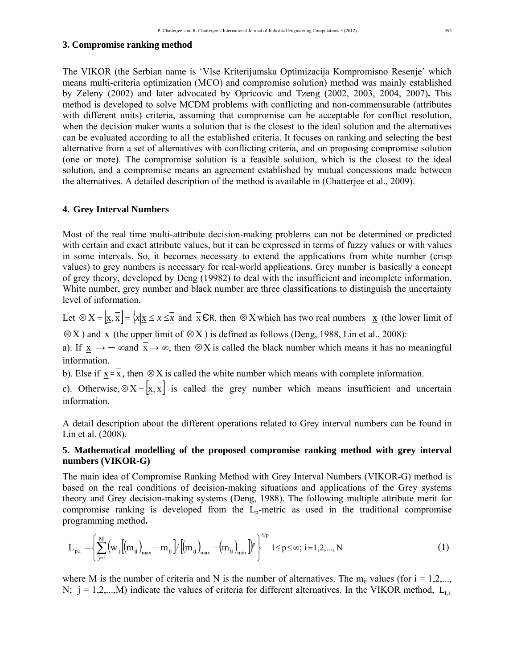#### **3. Compromise ranking method**

The VIKOR (the Serbian name is 'Vlse Kriterijumska Optimizacija Kompromisno Resenje' which means multi-criteria optimization (MCO) and compromise solution) method was mainly established by Zeleny (2002) and later advocated by Opricovic and Tzeng (2002, 2003, 2004, 2007)**.** This method is developed to solve MCDM problems with conflicting and non-commensurable (attributes with different units) criteria, assuming that compromise can be acceptable for conflict resolution, when the decision maker wants a solution that is the closest to the ideal solution and the alternatives can be evaluated according to all the established criteria. It focuses on ranking and selecting the best alternative from a set of alternatives with conflicting criteria, and on proposing compromise solution (one or more). The compromise solution is a feasible solution, which is the closest to the ideal solution, and a compromise means an agreement established by mutual concessions made between the alternatives. A detailed description of the method is available in (Chatterjee et al., 2009).

#### **4. Grey Interval Numbers**

Most of the real time multi-attribute decision-making problems can not be determined or predicted with certain and exact attribute values, but it can be expressed in terms of fuzzy values or with values in some intervals. So, it becomes necessary to extend the applications from white number (crisp values) to grey numbers is necessary for real-world applications. Grey number is basically a concept of grey theory, developed by Deng (19982) to deal with the insufficient and incomplete information. White number, grey number and black number are three classifications to distinguish the uncertainty level of information.

Let  $\otimes X = [\underline{x}, \overline{x}] = \{x | \underline{x} \le x \le \overline{x} \text{ and } \overline{x} \in R, \text{ then } \otimes X \text{ which has two real numbers } \underline{x} \text{ (the lower limit of } \overline{x})\}$ 

 $\otimes$ X) and x (the upper limit of  $\otimes$ X) is defined as follows (Deng, 1988, Lin et al., 2008):

a). If  $\underline{x} \rightarrow -\infty$  and  $\overline{x} \rightarrow \infty$ , then  $\otimes X$  is called the black number which means it has no meaningful information.

b). Else if  $\underline{x} = \overline{x}$ , then ⊗X is called the white number which means with complete information.

c). Otherwise,  $\otimes X = \left[\frac{x}{x}, \overline{x}\right]$  is called the grey number which means insufficient and uncertain information.

A detail description about the different operations related to Grey interval numbers can be found in Lin et al. (2008).

## **5. Mathematical modelling of the proposed compromise ranking method with grey interval numbers (VIKOR-G)**

The main idea of Compromise Ranking Method with Grey Interval Numbers (VIKOR-G) method is based on the real conditions of decision-making situations and applications of the Grey systems theory and Grey decision-making systems (Deng, 1988). The following multiple attribute merit for compromise ranking is developed from the  $L<sub>p</sub>$ -metric as used in the traditional compromise programming method**.** 

$$
L_{p,i} = \left\{ \sum_{j=1}^{M} \left( w_j \left[ \left( m_{ij} \right)_{max} - m_{ij} \right] / \left[ \left( m_{ij} \right)_{max} - \left( m_{ij} \right)_{min} \right] \right)^p \right\}^{1/p} 1 \le p \le \infty; i = 1, 2, ..., N
$$
 (1)

where M is the number of criteria and N is the number of alternatives. The  $m_{ii}$  values (for  $i = 1, 2, \dots$ , N;  $j = 1,2,...,M$ ) indicate the values of criteria for different alternatives. In the VIKOR method,  $L_{1,i}$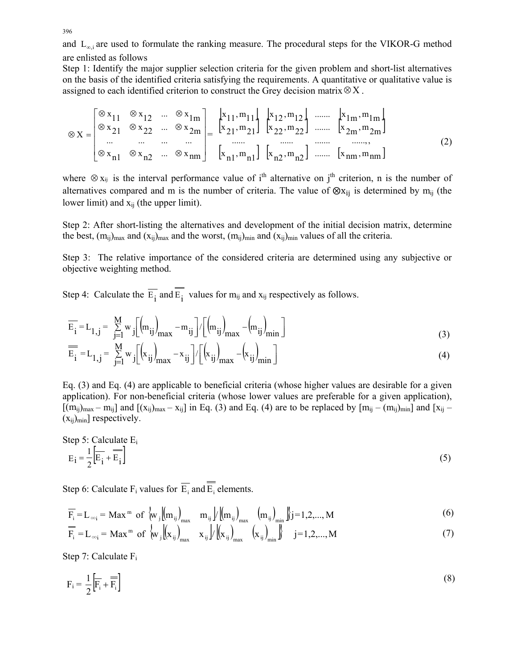and  $L_{\infty i}$  are used to formulate the ranking measure. The procedural steps for the VIKOR-G method are enlisted as follows

Step 1: Identify the major supplier selection criteria for the given problem and short-list alternatives on the basis of the identified criteria satisfying the requirements. A quantitative or qualitative value is assigned to each identified criterion to construct the Grey decision matrix⊗X .

$$
\otimes x = \begin{bmatrix} \otimes x_{11} & \otimes x_{12} & \dots & \otimes x_{1m} \\ \otimes x_{21} & \otimes x_{22} & \dots & \otimes x_{2m} \\ \dots & \dots & \dots & \dots \\ \otimes x_{n1} & \otimes x_{n2} & \dots & \otimes x_{nm} \end{bmatrix} = \begin{bmatrix} x_{11}, m_{11} \\ x_{21}, m_{21} \end{bmatrix} \begin{bmatrix} x_{12}, m_{12} \\ x_{22}, m_{22} \end{bmatrix} \dots \dots \begin{bmatrix} x_{1m}, m_{1m} \\ x_{2m}, m_{2m} \end{bmatrix}
$$
(2)

where  $\otimes$  x<sub>ij</sub> is the interval performance value of i<sup>th</sup> alternative on j<sup>th</sup> criterion, n is the number of alternatives compared and m is the number of criteria. The value of  $\otimes x_{ij}$  is determined by m<sub>ij</sub> (the lower limit) and  $x_{ii}$  (the upper limit).

Step 2: After short-listing the alternatives and development of the initial decision matrix, determine the best,  $(m_{ij})_{max}$  and  $(x_{ij})_{max}$  and the worst,  $(m_{ij})_{min}$  and  $(x_{ij})_{min}$  values of all the criteria.

Step 3: The relative importance of the considered criteria are determined using any subjective or objective weighting method.

Step 4: Calculate the  $\overline{E_i}$  and  $\overline{E_i}$  values for m<sub>ij</sub> and x<sub>ij</sub> respectively as follows.

$$
\overline{E}_{i} = L_{1,j} = \sum_{j=1}^{M} w_{j} \left[ \left( m_{ij} \right)_{max} - m_{ij} \right] / \left[ \left( m_{ij} \right)_{max} - \left( m_{ij} \right)_{min} \right]
$$
(3)

$$
\overline{\overline{E}_i} = L_{1,j} = \sum_{j=1}^{M} w_j \left[ \left( x_{ij} \right)_{max} - x_{ij} \right] / \left[ \left( x_{ij} \right)_{max} - \left( x_{ij} \right)_{min} \right]
$$
(4)

Eq. (3) and Eq. (4) are applicable to beneficial criteria (whose higher values are desirable for a given application). For non-beneficial criteria (whose lower values are preferable for a given application),  $[(m_{ij})_{max} - m_{ij}]$  and  $[(x_{ij})_{max} - x_{ij}]$  in Eq. (3) and Eq. (4) are to be replaced by  $[m_{ij} - (m_{ij})_{min}]$  and  $[x_{ij} - x_{ij}]$  $(x_{ii})_{min}$ ] respectively.

Step 5: Calculate E<sub>i</sub>  
\n
$$
E_i = \frac{1}{2} \left[ \overline{E}_i + \overline{E}_i \right]
$$
\n(5)

Step 6: Calculate F<sub>i</sub> values for  $\overline{E_i}$  and  $\overline{E_i}$  elements.

$$
\overline{F_i} = L_{\infty i} = \text{Max}^m \text{ of } \begin{cases} w_j \left( m_{ij} \right)_{\text{max}} & m_{ij} \end{cases} / \left( m_{ij} \right)_{\text{max}} \left( m_{ij} \right)_{\text{min}} \begin{cases} j = 1, 2, ..., M \\ 0 & \text{otherwise} \end{cases}
$$
 (6)

$$
\overline{\overline{F}_i} = L_{\infty i} = \text{Max}^{\text{m}} \text{ of } \langle w_j | (x_{ij})_{\text{max}} | x_{ij} \rangle / (x_{ij})_{\text{max}} (x_{ij})_{\text{min}} \rangle \quad j = 1, 2, ..., M
$$
 (7)

Step 7: Calculate Fi

$$
F_i = \frac{1}{2} \left[ \overline{F_i} + \overline{F_i} \right] \tag{8}
$$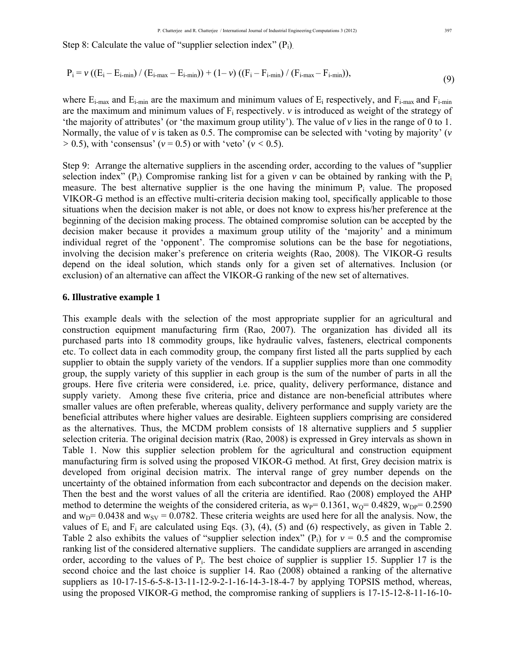Step 8: Calculate the value of "supplier selection index"  $(P_i)$ .

$$
P_{i} = \nu \left( (E_{i} - E_{i-min}) / (E_{i-max} - E_{i-min}) \right) + (1 - \nu) \left( (F_{i} - F_{i-min}) / (F_{i-max} - F_{i-min}) \right),\tag{9}
$$

where  $E_{i-max}$  and  $E_{i-min}$  are the maximum and minimum values of  $E_i$  respectively, and  $F_{i-max}$  and  $F_{i-min}$ are the maximum and minimum values of  $F_i$  respectively.  $\nu$  is introduced as weight of the strategy of 'the majority of attributes' (or 'the maximum group utility'). The value of  $\nu$  lies in the range of 0 to 1. Normally, the value of *v* is taken as 0.5. The compromise can be selected with 'voting by majority' (*v*   $> 0.5$ ), with 'consensus' ( $v = 0.5$ ) or with 'veto' ( $v < 0.5$ ).

Step 9: Arrange the alternative suppliers in the ascending order, according to the values of "supplier selection index"  $(P_i)$ . Compromise ranking list for a given *v* can be obtained by ranking with the  $P_i$ measure. The best alternative supplier is the one having the minimum  $P_i$  value. The proposed VIKOR-G method is an effective multi-criteria decision making tool, specifically applicable to those situations when the decision maker is not able, or does not know to express his/her preference at the beginning of the decision making process. The obtained compromise solution can be accepted by the decision maker because it provides a maximum group utility of the 'majority' and a minimum individual regret of the 'opponent'. The compromise solutions can be the base for negotiations, involving the decision maker's preference on criteria weights (Rao, 2008). The VIKOR-G results depend on the ideal solution, which stands only for a given set of alternatives. Inclusion (or exclusion) of an alternative can affect the VIKOR-G ranking of the new set of alternatives.

#### **6. Illustrative example 1**

This example deals with the selection of the most appropriate supplier for an agricultural and construction equipment manufacturing firm (Rao, 2007). The organization has divided all its purchased parts into 18 commodity groups, like hydraulic valves, fasteners, electrical components etc. To collect data in each commodity group, the company first listed all the parts supplied by each supplier to obtain the supply variety of the vendors. If a supplier supplies more than one commodity group, the supply variety of this supplier in each group is the sum of the number of parts in all the groups. Here five criteria were considered, i.e. price, quality, delivery performance, distance and supply variety. Among these five criteria, price and distance are non-beneficial attributes where smaller values are often preferable, whereas quality, delivery performance and supply variety are the beneficial attributes where higher values are desirable. Eighteen suppliers comprising are considered as the alternatives. Thus, the MCDM problem consists of 18 alternative suppliers and 5 supplier selection criteria. The original decision matrix (Rao, 2008) is expressed in Grey intervals as shown in Table 1. Now this supplier selection problem for the agricultural and construction equipment manufacturing firm is solved using the proposed VIKOR-G method. At first, Grey decision matrix is developed from original decision matrix. The interval range of grey number depends on the uncertainty of the obtained information from each subcontractor and depends on the decision maker. Then the best and the worst values of all the criteria are identified. Rao (2008) employed the AHP method to determine the weights of the considered criteria, as  $w_P = 0.1361$ ,  $w_O = 0.4829$ ,  $w_{DP} = 0.2590$ and  $w_D$ = 0.0438 and  $w_{SV}$  = 0.0782. These criteria weights are used here for all the analysis. Now, the values of  $E_i$  and  $F_i$  are calculated using Eqs. (3), (4), (5) and (6) respectively, as given in Table 2. Table 2 also exhibits the values of "supplier selection index"  $(P_i)$  for  $v = 0.5$  and the compromise ranking list of the considered alternative suppliers. The candidate suppliers are arranged in ascending order, according to the values of Pi. The best choice of supplier is supplier 15. Supplier 17 is the second choice and the last choice is supplier 14. Rao (2008) obtained a ranking of the alternative suppliers as 10-17-15-6-5-8-13-11-12-9-2-1-16-14-3-18-4-7 by applying TOPSIS method, whereas, using the proposed VIKOR-G method, the compromise ranking of suppliers is 17-15-12-8-11-16-10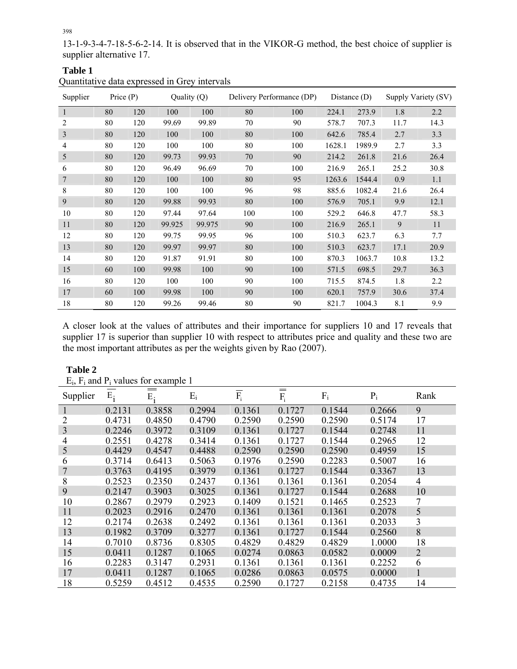13-1-9-3-4-7-18-5-6-2-14. It is observed that in the VIKOR-G method, the best choice of supplier is supplier alternative 17.

| Quantitative data expressed in Grey intervals |             |     |             |        |                           |     |                |        |                     |      |
|-----------------------------------------------|-------------|-----|-------------|--------|---------------------------|-----|----------------|--------|---------------------|------|
| Supplier                                      | Price $(P)$ |     | Quality (Q) |        | Delivery Performance (DP) |     | Distance $(D)$ |        | Supply Variety (SV) |      |
| 1                                             | 80          | 120 | 100         | 100    | 80                        | 100 | 224.1          | 273.9  | 1.8                 | 2.2  |
| 2                                             | 80          | 120 | 99.69       | 99.89  | 70                        | 90  | 578.7          | 707.3  | 11.7                | 14.3 |
| 3                                             | 80          | 120 | 100         | 100    | 80                        | 100 | 642.6          | 785.4  | 2.7                 | 3.3  |
| 4                                             | 80          | 120 | 100         | 100    | 80                        | 100 | 1628.1         | 1989.9 | 2.7                 | 3.3  |
| 5                                             | 80          | 120 | 99.73       | 99.93  | 70                        | 90  | 214.2          | 261.8  | 21.6                | 26.4 |
| 6                                             | 80          | 120 | 96.49       | 96.69  | 70                        | 100 | 216.9          | 265.1  | 25.2                | 30.8 |
| 7                                             | 80          | 120 | 100         | 100    | $80\,$                    | 95  | 1263.6         | 1544.4 | 0.9                 | 1.1  |
| 8                                             | 80          | 120 | 100         | 100    | 96                        | 98  | 885.6          | 1082.4 | 21.6                | 26.4 |
| 9                                             | 80          | 120 | 99.88       | 99.93  | 80                        | 100 | 576.9          | 705.1  | 9.9                 | 12.1 |
| 10                                            | 80          | 120 | 97.44       | 97.64  | 100                       | 100 | 529.2          | 646.8  | 47.7                | 58.3 |
| 11                                            | 80          | 120 | 99.925      | 99.975 | 90                        | 100 | 216.9          | 265.1  | 9                   | 11   |
| 12                                            | 80          | 120 | 99.75       | 99.95  | 96                        | 100 | 510.3          | 623.7  | 6.3                 | 7.7  |
| 13                                            | 80          | 120 | 99.97       | 99.97  | 80                        | 100 | 510.3          | 623.7  | 17.1                | 20.9 |
| 14                                            | 80          | 120 | 91.87       | 91.91  | 80                        | 100 | 870.3          | 1063.7 | 10.8                | 13.2 |
| 15                                            | 60          | 100 | 99.98       | 100    | 90                        | 100 | 571.5          | 698.5  | 29.7                | 36.3 |
| 16                                            | 80          | 120 | 100         | 100    | 90                        | 100 | 715.5          | 874.5  | 1.8                 | 2.2  |
| 17                                            | 60          | 100 | 99.98       | 100    | 90                        | 100 | 620.1          | 757.9  | 30.6                | 37.4 |
| 18                                            | 80          | 120 | 99.26       | 99.46  | 80                        | 90  | 821.7          | 1004.3 | 8.1                 | 9.9  |

A closer look at the values of attributes and their importance for suppliers 10 and 17 reveals that supplier 17 is superior than supplier 10 with respect to attributes price and quality and these two are the most important attributes as per the weights given by Rao (2007).

| Supplier | $E_i$     | $\equiv$<br>E: | $E_i$  | $F_i$  | $\!\!\!=\!\!\!=$<br>$F_i$ | $F_i$  | $P_i$  | Rank           |
|----------|-----------|----------------|--------|--------|---------------------------|--------|--------|----------------|
|          | 0 2 1 3 1 | 0.3858         | 0.2994 | 0.1361 | 0.1727                    | 0.1544 | 0.2666 | 9              |
|          | 0.4731    | 0.4850         | 0.4790 | 0.2590 | 0.2590                    | 0.2590 | 0.5174 | 17             |
| 3        | 0.2246    | 0.3972         | 0.3109 | 0.1361 | 0.1727                    | 0.1544 | 0.2748 | 11             |
| 4        | 0.2551    | 0.4278         | 0.3414 | 0.1361 | 0.1727                    | 0.1544 | 0.2965 | 12             |
| 5        | 0.4429    | 0.4547         | 0.4488 | 0.2590 | 0.2590                    | 0.2590 | 0.4959 | 15             |
| 6        | 0.3714    | 0.6413         | 0.5063 | 0.1976 | 0.2590                    | 0.2283 | 0.5007 | 16             |
| 7        | 0.3763    | 0.4195         | 0.3979 | 0.1361 | 0.1727                    | 0.1544 | 0.3367 | 13             |
| 8        | 0.2523    | 0.2350         | 0.2437 | 0.1361 | 0.1361                    | 0.1361 | 0.2054 | $\overline{4}$ |
| 9        | 0.2147    | 0.3903         | 0.3025 | 0.1361 | 0.1727                    | 0.1544 | 0.2688 | 10             |
| 10       | 0.2867    | 0.2979         | 0.2923 | 0.1409 | 0.1521                    | 0.1465 | 0.2523 | 7              |
| 11       | 0.2023    | 0.2916         | 0.2470 | 0.1361 | 0.1361                    | 0.1361 | 0.2078 | 5              |
| 12       | 0.2174    | 0.2638         | 0.2492 | 0.1361 | 0.1361                    | 0.1361 | 0.2033 | 3              |
| 13       | 0.1982    | 0.3709         | 0.3277 | 0.1361 | 0.1727                    | 0.1544 | 0.2560 | 8              |
| 14       | 0.7010    | 0.8736         | 0.8305 | 0.4829 | 0.4829                    | 0.4829 | 1.0000 | 18             |
| 15       | 0.0411    | 0.1287         | 0.1065 | 0.0274 | 0.0863                    | 0.0582 | 0.0009 | $\overline{2}$ |
| 16       | 0.2283    | 0.3147         | 0.2931 | 0.1361 | 0.1361                    | 0.1361 | 0.2252 | 6              |
| 17       | 0.0411    | 0.1287         | 0.1065 | 0.0286 | 0.0863                    | 0.0575 | 0.0000 |                |
| 18       | 0.5259    | 0.4512         | 0.4535 | 0.2590 | 0.1727                    | 0.2158 | 0.4735 | 14             |

 $E_i$ ,  $F_i$  and  $P_i$  values for example 1

**Table 1**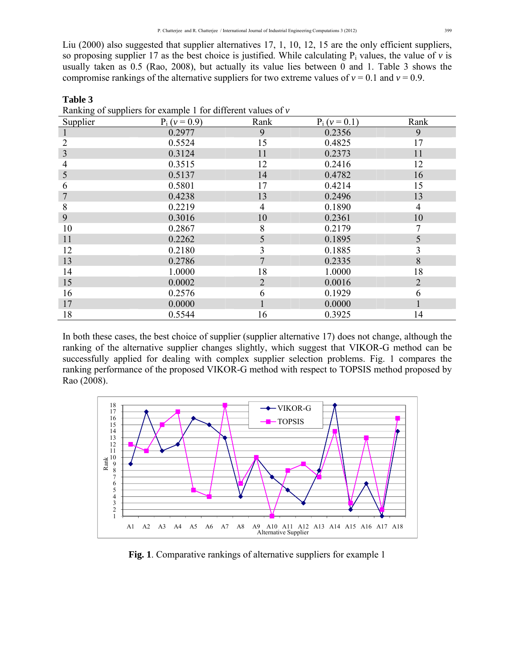Liu (2000) also suggested that supplier alternatives 17, 1, 10, 12, 15 are the only efficient suppliers, so proposing supplier 17 as the best choice is justified. While calculating  $P_i$  values, the value of  $\nu$  is usually taken as 0.5 (Rao, 2008), but actually its value lies between  $\overline{0}$  and 1. Table 3 shows the compromise rankings of the alternative suppliers for two extreme values of  $v = 0.1$  and  $v = 0.9$ .

**Table 3**

| Ranking of suppliers for example 1 for different values of $\nu$ |                 |                |                 |      |  |  |  |  |  |
|------------------------------------------------------------------|-----------------|----------------|-----------------|------|--|--|--|--|--|
| Supplier                                                         | $P_i (v = 0.9)$ | Rank           | $P_i (v = 0.1)$ | Rank |  |  |  |  |  |
|                                                                  | 0.2977          | 9              | 0.2356          | 9    |  |  |  |  |  |
| 2                                                                | 0.5524          | 15             | 0.4825          | 17   |  |  |  |  |  |
| 3                                                                | 0.3124          | 11             | 0.2373          | 11   |  |  |  |  |  |
| 4                                                                | 0.3515          | 12             | 0.2416          | 12   |  |  |  |  |  |
| 5                                                                | 0.5137          | 14             | 0.4782          | 16   |  |  |  |  |  |
| 6                                                                | 0.5801          | 17             | 0.4214          | 15   |  |  |  |  |  |
| 7                                                                | 0.4238          | 13             | 0.2496          | 13   |  |  |  |  |  |
| 8                                                                | 0.2219          | 4              | 0.1890          | 4    |  |  |  |  |  |
| 9                                                                | 0.3016          | 10             | 0.2361          | 10   |  |  |  |  |  |
| 10                                                               | 0.2867          | 8              | 0.2179          | 7    |  |  |  |  |  |
| 11                                                               | 0.2262          | 5              | 0.1895          | 5    |  |  |  |  |  |
| 12                                                               | 0.2180          | 3              | 0.1885          | 3    |  |  |  |  |  |
| 13                                                               | 0.2786          | 7              | 0.2335          | 8    |  |  |  |  |  |
| 14                                                               | 1.0000          | 18             | 1.0000          | 18   |  |  |  |  |  |
| 15                                                               | 0.0002          | $\overline{2}$ | 0.0016          | 2    |  |  |  |  |  |
| 16                                                               | 0.2576          | 6              | 0.1929          | 6    |  |  |  |  |  |
| 17                                                               | 0.0000          | 1              | 0.0000          |      |  |  |  |  |  |
| 18                                                               | 0.5544          | 16             | 0.3925          | 14   |  |  |  |  |  |

In both these cases, the best choice of supplier (supplier alternative 17) does not change, although the ranking of the alternative supplier changes slightly, which suggest that VIKOR-G method can be successfully applied for dealing with complex supplier selection problems. Fig. 1 compares the ranking performance of the proposed VIKOR-G method with respect to TOPSIS method proposed by Rao (2008).



**Fig. 1**. Comparative rankings of alternative suppliers for example 1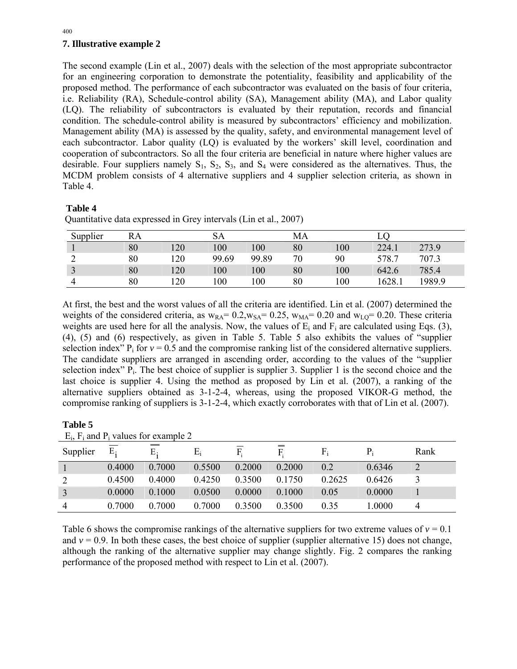## **7. Illustrative example 2**

The second example (Lin et al., 2007) deals with the selection of the most appropriate subcontractor for an engineering corporation to demonstrate the potentiality, feasibility and applicability of the proposed method. The performance of each subcontractor was evaluated on the basis of four criteria, i.e. Reliability (RA), Schedule-control ability (SA), Management ability (MA), and Labor quality (LQ). The reliability of subcontractors is evaluated by their reputation, records and financial condition. The schedule-control ability is measured by subcontractors' efficiency and mobilization. Management ability (MA) is assessed by the quality, safety, and environmental management level of each subcontractor. Labor quality (LQ) is evaluated by the workers' skill level, coordination and cooperation of subcontractors. So all the four criteria are beneficial in nature where higher values are desirable. Four suppliers namely  $S_1$ ,  $S_2$ ,  $S_3$ , and  $S_4$  were considered as the alternatives. Thus, the MCDM problem consists of 4 alternative suppliers and 4 supplier selection criteria, as shown in Table 4.

## **Table 4**

| Supplier | RA |     | SA    |       | MA |     |        |        |
|----------|----|-----|-------|-------|----|-----|--------|--------|
|          | 80 | 120 | 100   | 100   | 80 | 100 | 224.1  | 273.9  |
| ∽        | 80 | 120 | 99.69 | 99.89 | 70 | 90  | 578.7  | 707.3  |
| ◡        | 80 | 120 | 100   | 100   | 80 | 100 | 642.6  | 785.4  |
|          | 80 | 20  | 100   | 100   | 80 | 100 | 1628.1 | 1989.9 |

Quantitative data expressed in Grey intervals (Lin et al., 2007)

At first, the best and the worst values of all the criteria are identified. Lin et al. (2007) determined the weights of the considered criteria, as  $w_{RA} = 0.2$ ,  $w_{SA} = 0.25$ ,  $w_{MA} = 0.20$  and  $w_{LO} = 0.20$ . These criteria weights are used here for all the analysis. Now, the values of  $E_i$  and  $F_i$  are calculated using Eqs. (3), (4), (5) and (6) respectively, as given in Table 5. Table 5 also exhibits the values of "supplier selection index"  $P_i$  for  $v = 0.5$  and the compromise ranking list of the considered alternative suppliers. The candidate suppliers are arranged in ascending order, according to the values of the "supplier selection index"  $P_i$ . The best choice of supplier is supplier 3. Supplier 1 is the second choice and the last choice is supplier 4. Using the method as proposed by Lin et al. (2007), a ranking of the alternative suppliers obtained as 3-1-2-4, whereas, using the proposed VIKOR-G method, the compromise ranking of suppliers is 3-1-2-4, which exactly corroborates with that of Lin et al. (2007).

| L<br>п |  |
|--------|--|
|--------|--|

| $E_i$ , $F_i$ and $P_i$ values for example 2 |        |                                  |        |        |         |        |        |      |
|----------------------------------------------|--------|----------------------------------|--------|--------|---------|--------|--------|------|
| Supplier                                     | Ε.     | $\hspace{0.05cm} =$<br>$E_{\rm}$ | $E_i$  | F.     | =<br>F. | $F_i$  | $P_i$  | Rank |
|                                              | 0.4000 | 0.7000                           | 0.5500 | 0.2000 | 0.2000  | 0.2    | 0.6346 |      |
|                                              | 0.4500 | 0.4000                           | 0.4250 | 0.3500 | 0.1750  | 0.2625 | 0.6426 |      |
| 3                                            | 0.0000 | 0.1000                           | 0.0500 | 0.0000 | 0.1000  | 0.05   | 0.0000 |      |
| $\overline{4}$                               | 0.7000 | 0.7000                           | 0.7000 | 0.3500 | 0.3500  | 0.35   | 1.0000 | 4    |

Table 6 shows the compromise rankings of the alternative suppliers for two extreme values of  $v = 0.1$ and  $v = 0.9$ . In both these cases, the best choice of supplier (supplier alternative 15) does not change, although the ranking of the alternative supplier may change slightly. Fig. 2 compares the ranking performance of the proposed method with respect to Lin et al. (2007).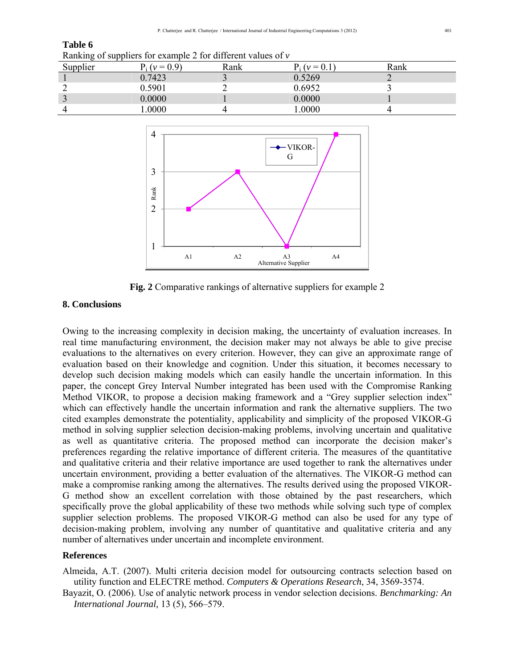### **Table 6**

Ranking of suppliers for example 2 for different values of *v*

| Supplier | $(v = 0.9)$ | Rank | $(v = 0.1)$ | Rank |
|----------|-------------|------|-------------|------|
|          | 0.7423      |      | 0.5269      |      |
|          | .5901       |      | 0.6952      |      |
|          | 0.0000      |      | 0.0000      |      |
|          | .0000       |      | 0000        |      |



**Fig. 2** Comparative rankings of alternative suppliers for example 2

### **8. Conclusions**

Owing to the increasing complexity in decision making, the uncertainty of evaluation increases. In real time manufacturing environment, the decision maker may not always be able to give precise evaluations to the alternatives on every criterion. However, they can give an approximate range of evaluation based on their knowledge and cognition. Under this situation, it becomes necessary to develop such decision making models which can easily handle the uncertain information. In this paper, the concept Grey Interval Number integrated has been used with the Compromise Ranking Method VIKOR, to propose a decision making framework and a "Grey supplier selection index" which can effectively handle the uncertain information and rank the alternative suppliers. The two cited examples demonstrate the potentiality, applicability and simplicity of the proposed VIKOR-G method in solving supplier selection decision-making problems, involving uncertain and qualitative as well as quantitative criteria. The proposed method can incorporate the decision maker's preferences regarding the relative importance of different criteria. The measures of the quantitative and qualitative criteria and their relative importance are used together to rank the alternatives under uncertain environment, providing a better evaluation of the alternatives. The VIKOR-G method can make a compromise ranking among the alternatives. The results derived using the proposed VIKOR-G method show an excellent correlation with those obtained by the past researchers, which specifically prove the global applicability of these two methods while solving such type of complex supplier selection problems. The proposed VIKOR-G method can also be used for any type of decision-making problem, involving any number of quantitative and qualitative criteria and any number of alternatives under uncertain and incomplete environment.

#### **References**

Almeida, A.T. (2007). Multi criteria decision model for outsourcing contracts selection based on utility function and ELECTRE method. *Computers & Operations Research*, 34, 3569-3574.

Bayazit, O. (2006). Use of analytic network process in vendor selection decisions. *Benchmarking: An International Journal,* 13 (5), 566–579.